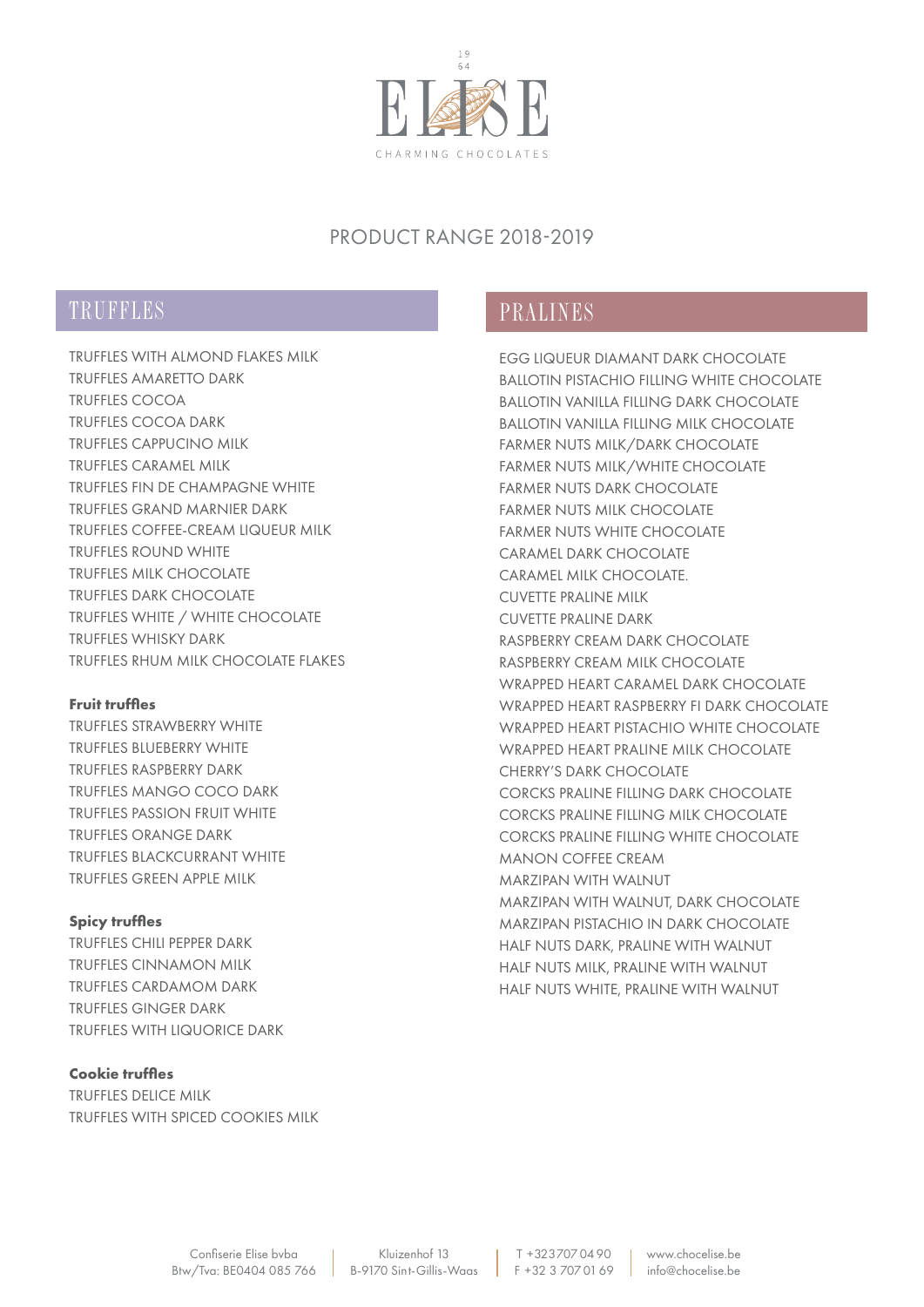

## PRODUCT RANGE 2018-2019

# TRUFFLES PRALINES

TRUFFLES WITH ALMOND FLAKES MILK TRUFFLES AMARETTO DARK TRUFFLES COCOA TRUFFLES COCOA DARK TRUFFLES CAPPUCINO MILK TRUFFLES CARAMEL MILK TRUFFLES FIN DE CHAMPAGNE WHITE TRUFFLES GRAND MARNIER DARK TRUFFLES COFFEE-CREAM LIQUEUR MILK TRUFFLES ROUND WHITE TRUFFLES MILK CHOCOLATE TRUFFLES DARK CHOCOLATE TRUFFLES WHITE / WHITE CHOCOLATE TRUFFLES WHISKY DARK TRUFFLES RHUM MILK CHOCOLATE FLAKES

## **Fruit truffles**

TRUFFLES STRAWBERRY WHITE TRUFFLES BLUEBERRY WHITE TRUFFLES RASPBERRY DARK TRUFFLES MANGO COCO DARK TRUFFLES PASSION FRUIT WHITE TRUFFLES ORANGE DARK TRUFFLES BLACKCURRANT WHITE TRUFFLES GREEN APPLE MILK

## **Spicy truffles**

TRUFFLES CHILI PEPPER DARK TRUFFLES CINNAMON MILK TRUFFLES CARDAMOM DARK TRUFFLES GINGER DARK TRUFFLES WITH LIQUORICE DARK

## **Cookie truffles**

TRUFFLES DELICE MILK TRUFFLES WITH SPICED COOKIES MILK

EGG LIQUEUR DIAMANT DARK CHOCOLATE BALLOTIN PISTACHIO FILLING WHITE CHOCOLATE BALLOTIN VANILLA FILLING DARK CHOCOLATE BALLOTIN VANILLA FILLING MILK CHOCOLATE FARMER NUTS MILK/DARK CHOCOLATE FARMER NUTS MILK/WHITE CHOCOLATE FARMER NUTS DARK CHOCOLATE FARMER NUTS MILK CHOCOLATE FARMER NUTS WHITE CHOCOLATE CARAMEL DARK CHOCOLATE CARAMEL MILK CHOCOLATE. CUVETTE PRALINE MILK CUVETTE PRALINE DARK RASPBERRY CREAM DARK CHOCOLATE RASPBERRY CREAM MILK CHOCOLATE WRAPPED HEART CARAMEL DARK CHOCOLATE WRAPPED HEART RASPBERRY FI DARK CHOCOLATE WRAPPED HEART PISTACHIO WHITE CHOCOLATE WRAPPED HEART PRALINE MILK CHOCOLATE CHERRY'S DARK CHOCOLATE CORCKS PRALINE FILLING DARK CHOCOLATE CORCKS PRALINE FILLING MILK CHOCOLATE CORCKS PRALINE FILLING WHITE CHOCOLATE MANON COFFEE CREAM MARZIPAN WITH WALNUT MARZIPAN WITH WALNUT, DARK CHOCOLATE MARZIPAN PISTACHIO IN DARK CHOCOLATE HALF NUTS DARK, PRALINE WITH WALNUT HALF NUTS MILK, PRALINE WITH WALNUT HALF NUTS WHITE, PRALINE WITH WALNUT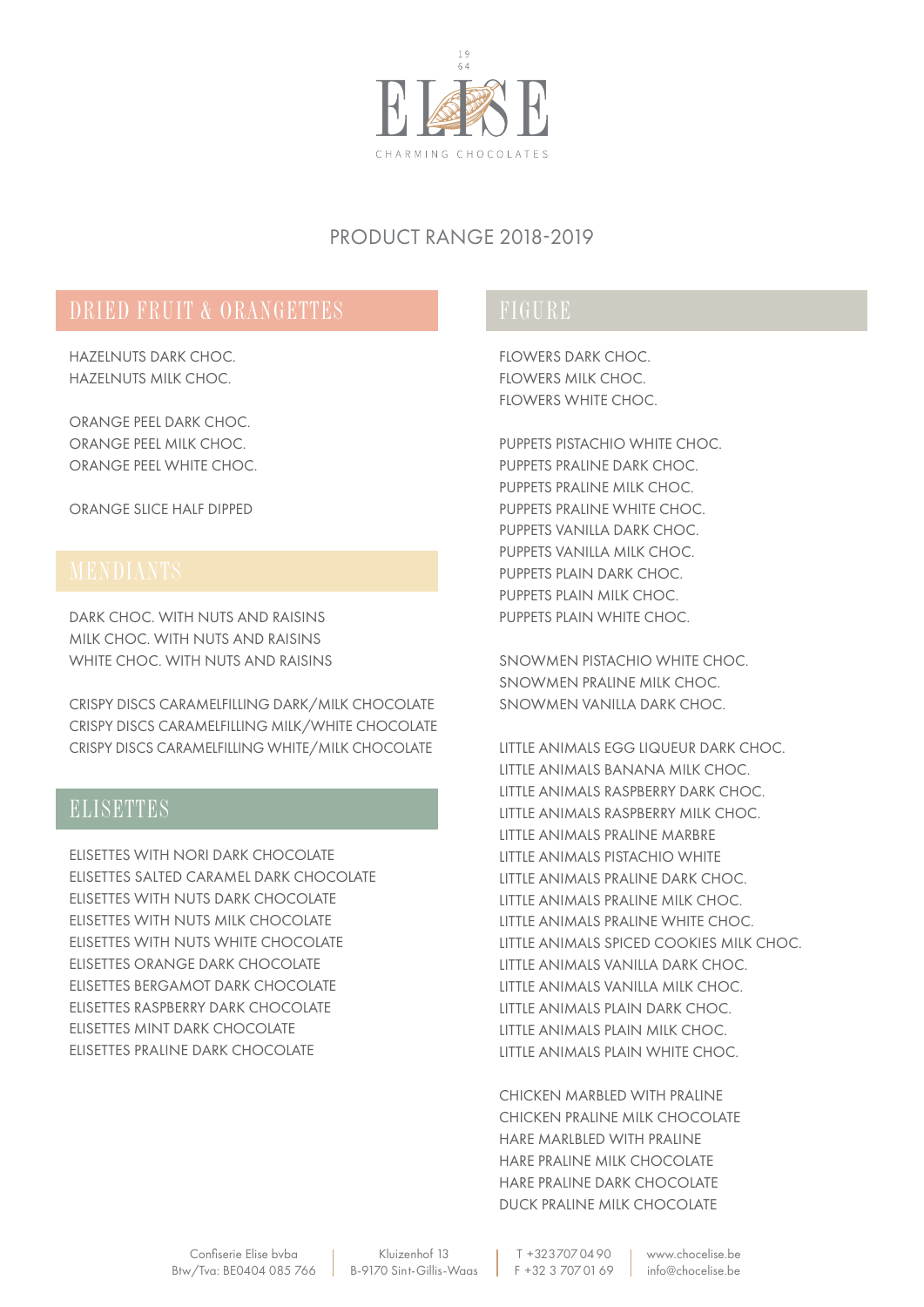

## PRODUCT RANGE 2018-2019

HAZELNUTS DARK CHOC. HAZELNUTS MILK CHOC.

ORANGE PEEL DARK CHOC. ORANGE PEEL MILK CHOC. ORANGE PEEL WHITE CHOC.

ORANGE SLICE HALF DIPPED

DARK CHOC. WITH NUTS AND RAISINS MILK CHOC. WITH NUTS AND RAISINS WHITE CHOC. WITH NUTS AND RAISINS

CRISPY DISCS CARAMELFILLING DARK/MILK CHOCOLATE CRISPY DISCS CARAMELFILLING MILK/WHITE CHOCOLATE CRISPY DISCS CARAMELFILLING WHITE/MILK CHOCOLATE

# **ELISETTES**

ELISETTES WITH NORI DARK CHOCOLATE ELISETTES SALTED CARAMEL DARK CHOCOLATE ELISETTES WITH NUTS DARK CHOCOLATE ELISETTES WITH NUTS MILK CHOCOLATE ELISETTES WITH NUTS WHITE CHOCOLATE ELISETTES ORANGE DARK CHOCOLATE ELISETTES BERGAMOT DARK CHOCOLATE ELISETTES RASPBERRY DARK CHOCOLATE ELISETTES MINT DARK CHOCOLATE ELISETTES PRALINE DARK CHOCOLATE

FLOWERS DARK CHOC. FLOWERS MILK CHOC. FLOWERS WHITE CHOC.

PUPPETS PISTACHIO WHITE CHOC. PUPPETS PRALINE DARK CHOC. PUPPETS PRALINE MILK CHOC. PUPPETS PRALINE WHITE CHOC. PUPPETS VANILLA DARK CHOC. PUPPETS VANILLA MILK CHOC. PUPPETS PLAIN DARK CHOC. PUPPETS PLAIN MILK CHOC. PUPPETS PLAIN WHITE CHOC.

SNOWMEN PISTACHIO WHITE CHOC. SNOWMEN PRALINE MILK CHOC. SNOWMEN VANILLA DARK CHOC.

LITTLE ANIMALS EGG LIQUEUR DARK CHOC. LITTLE ANIMALS BANANA MILK CHOC. LITTLE ANIMALS RASPBERRY DARK CHOC. LITTLE ANIMALS RASPBERRY MILK CHOC. LITTLE ANIMALS PRALINE MARBRE LITTLE ANIMALS PISTACHIO WHITE LITTLE ANIMALS PRALINE DARK CHOC. LITTLE ANIMALS PRALINE MILK CHOC. LITTLE ANIMALS PRALINE WHITE CHOC. LITTLE ANIMALS SPICED COOKIES MILK CHOC. LITTLE ANIMALS VANILLA DARK CHOC. LITTLE ANIMALS VANILLA MILK CHOC. LITTLE ANIMALS PLAIN DARK CHOC. LITTLE ANIMALS PLAIN MILK CHOC. LITTLE ANIMALS PLAIN WHITE CHOC.

CHICKEN MARBLED WITH PRALINE CHICKEN PRALINE MILK CHOCOLATE HARE MARLBLED WITH PRALINE HARE PRALINE MILK CHOCOLATE HARE PRALINE DARK CHOCOLATE DUCK PRALINE MILK CHOCOLATE

T +32 3 707 04 90 F +32 3 707 01 69